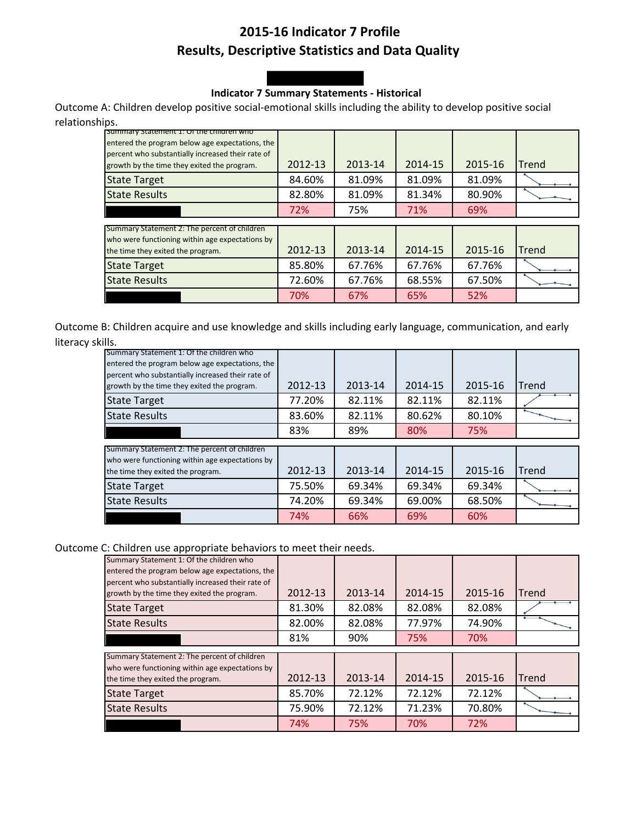# **2015-16 Indicator 7 Profile Results, Descriptive Statistics and Data Quality**

### **Indicator 7 Summary Statements - Historical**

Outcome A: Children develop positive social-emotional skills including the ability to develop positive social relationships.

| Summary Statement 1: Or the children who<br>entered the program below age expectations, the<br>percent who substantially increased their rate of |         |         |         |         |       |
|--------------------------------------------------------------------------------------------------------------------------------------------------|---------|---------|---------|---------|-------|
| growth by the time they exited the program.                                                                                                      | 2012-13 | 2013-14 | 2014-15 | 2015-16 | Trend |
| <b>State Target</b>                                                                                                                              | 84.60%  | 81.09%  | 81.09%  | 81.09%  |       |
| <b>State Results</b>                                                                                                                             | 82.80%  | 81.09%  | 81.34%  | 80.90%  |       |
|                                                                                                                                                  | 72%     | 75%     | 71%     | 69%     |       |
| Summary Statement 2: The percent of children                                                                                                     |         |         |         |         |       |
| who were functioning within age expectations by                                                                                                  |         |         |         |         |       |
| the time they exited the program.                                                                                                                | 2012-13 | 2013-14 | 2014-15 | 2015-16 | Trend |
| <b>State Target</b>                                                                                                                              | 85.80%  | 67.76%  | 67.76%  | 67.76%  |       |
| <b>State Results</b>                                                                                                                             | 72.60%  | 67.76%  | 68.55%  | 67.50%  |       |
|                                                                                                                                                  | 70%     | 67%     | 65%     | 52%     |       |

Outcome B: Children acquire and use knowledge and skills including early language, communication, and early literacy skills.

| Summary Statement 1: Of the children who<br>entered the program below age expectations, the<br>percent who substantially increased their rate of<br>growth by the time they exited the program. | 2012-13 | 2013-14 | 2014-15 | 2015-16 | Trend |
|-------------------------------------------------------------------------------------------------------------------------------------------------------------------------------------------------|---------|---------|---------|---------|-------|
| <b>State Target</b>                                                                                                                                                                             | 77.20%  | 82.11%  | 82.11%  | 82.11%  |       |
| <b>State Results</b>                                                                                                                                                                            | 83.60%  | 82.11%  | 80.62%  | 80.10%  |       |
|                                                                                                                                                                                                 | 83%     | 89%     | 80%     | 75%     |       |
|                                                                                                                                                                                                 |         |         |         |         |       |
| Summary Statement 2: The percent of children                                                                                                                                                    |         |         |         |         |       |
| who were functioning within age expectations by                                                                                                                                                 |         |         |         |         |       |
| the time they exited the program.                                                                                                                                                               | 2012-13 | 2013-14 | 2014-15 | 2015-16 | Trend |
| <b>State Target</b>                                                                                                                                                                             | 75.50%  | 69.34%  | 69.34%  | 69.34%  |       |
| <b>State Results</b>                                                                                                                                                                            | 74.20%  | 69.34%  | 69.00%  | 68.50%  |       |
|                                                                                                                                                                                                 | 74%     | 66%     | 69%     | 60%     |       |

Outcome C: Children use appropriate behaviors to meet their needs.

| Summary Statement 1: Of the children who<br>entered the program below age expectations, the<br>percent who substantially increased their rate of |         |         |         |         |       |
|--------------------------------------------------------------------------------------------------------------------------------------------------|---------|---------|---------|---------|-------|
| growth by the time they exited the program.                                                                                                      | 2012-13 | 2013-14 | 2014-15 | 2015-16 | Trend |
| <b>State Target</b>                                                                                                                              | 81.30%  | 82.08%  | 82.08%  | 82.08%  |       |
| <b>State Results</b>                                                                                                                             | 82.00%  | 82.08%  | 77.97%  | 74.90%  |       |
|                                                                                                                                                  | 81%     | 90%     | 75%     | 70%     |       |
| Summary Statement 2: The percent of children<br>who were functioning within age expectations by                                                  |         |         |         |         |       |
| the time they exited the program.                                                                                                                | 2012-13 | 2013-14 | 2014-15 | 2015-16 | Trend |
| <b>State Target</b>                                                                                                                              | 85.70%  | 72.12%  | 72.12%  | 72.12%  |       |
| <b>State Results</b>                                                                                                                             | 75.90%  | 72.12%  | 71.23%  | 70.80%  |       |
|                                                                                                                                                  | 74%     | 75%     | 70%     | 72%     |       |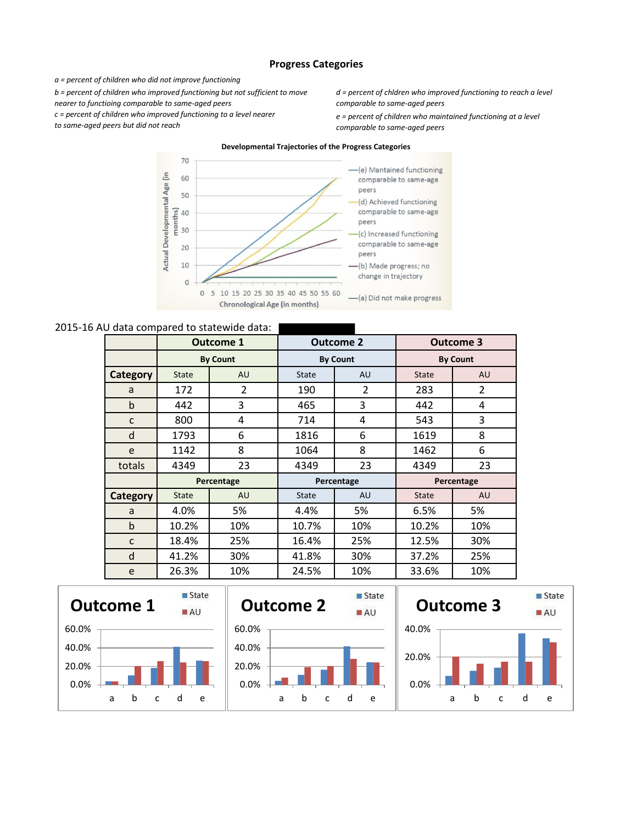#### **Progress Categories**

*a = percent of children who did not improve functioning* 

*b = percent of children who improved functioning but not sufficient to move* 

*nearer to functioing comparable to same-aged peers* 

*c = percent of children who improved functioning to a level nearer* 

*to same-aged peers but did not reach* 

*d = percent of chldren who improved functioning to reach a level comparable to same-aged peers* 

*e = percent of children who maintained functioning at a level comparable to same-aged peers*



#### 2015-16 AU data compared to statewide data:

|                 | <b>Outcome 1</b> |                 | <b>Outcome 2</b> |                 | <b>Outcome 3</b> |                |
|-----------------|------------------|-----------------|------------------|-----------------|------------------|----------------|
|                 |                  | <b>By Count</b> |                  | <b>By Count</b> | <b>By Count</b>  |                |
| <b>Category</b> | <b>State</b>     | <b>AU</b>       | <b>State</b>     | AU              | <b>State</b>     | AU             |
| a               | 172              | $\overline{2}$  | 190              | 2               | 283              | $\overline{2}$ |
| b               | 442              | 3               | 465              | 3               | 442              | 4              |
| $\mathsf{C}$    | 800              | 4               | 714              | 4               | 543              | 3              |
| d               | 1793             | 6               | 1816             | 6               | 1619             | 8              |
| e               | 1142             | 8               | 1064             | 8               | 1462             | 6              |
| totals          | 4349             | 23              | 4349             | 23              | 4349             | 23             |
|                 |                  | Percentage      | Percentage       |                 |                  | Percentage     |
| Category        | <b>State</b>     | <b>AU</b>       | <b>State</b>     | <b>AU</b>       | <b>State</b>     | AU             |
| a               | 4.0%             | 5%              | 4.4%             | 5%              | 6.5%             | 5%             |
| $\mathbf b$     | 10.2%            | 10%             | 10.7%            | 10%             | 10.2%            | 10%            |
| $\mathsf{C}$    | 18.4%            | 25%             | 16.4%            | 25%             | 12.5%            | 30%            |
| d               | 41.2%            | 30%             | 41.8%            | 30%             | 37.2%            | 25%            |
| e               | 26.3%            | 10%             | 24.5%            | 10%             | 33.6%            | 10%            |